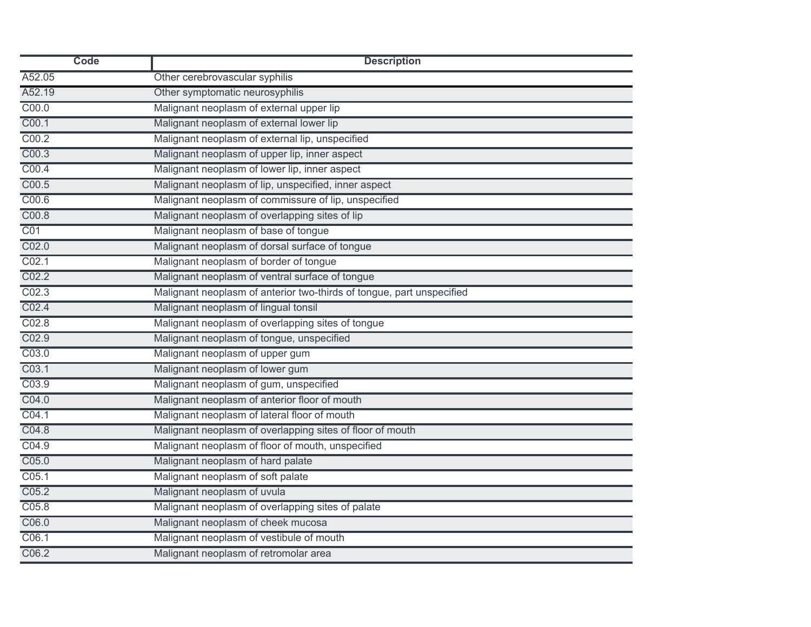| Code               | <b>Description</b>                                                    |
|--------------------|-----------------------------------------------------------------------|
| A52.05             | Other cerebrovascular syphilis                                        |
| A52.19             | Other symptomatic neurosyphilis                                       |
| $\overline{CO0.0}$ | Malignant neoplasm of external upper lip                              |
| $\overline{CO0.1}$ | Malignant neoplasm of external lower lip                              |
| $\overline{CO0.2}$ | Malignant neoplasm of external lip, unspecified                       |
| $\overline{CO0.3}$ | Malignant neoplasm of upper lip, inner aspect                         |
| $\overline{CO0.4}$ | Malignant neoplasm of lower lip, inner aspect                         |
| $\overline{CO0.5}$ | Malignant neoplasm of lip, unspecified, inner aspect                  |
| $\overline{CO0.6}$ | Malignant neoplasm of commissure of lip, unspecified                  |
| $\overline{CO0.8}$ | Malignant neoplasm of overlapping sites of lip                        |
| $\overline{C}01$   | Malignant neoplasm of base of tongue                                  |
| C <sub>02.0</sub>  | Malignant neoplasm of dorsal surface of tongue                        |
| $\overline{CO2.1}$ | Malignant neoplasm of border of tongue                                |
| C <sub>02.2</sub>  | Malignant neoplasm of ventral surface of tongue                       |
| $\overline{CO2.3}$ | Malignant neoplasm of anterior two-thirds of tongue, part unspecified |
| $\overline{CO2.4}$ | Malignant neoplasm of lingual tonsil                                  |
| $\overline{CO2.8}$ | Malignant neoplasm of overlapping sites of tongue                     |
| C <sub>02.9</sub>  | Malignant neoplasm of tongue, unspecified                             |
| $\overline{C03.0}$ | Malignant neoplasm of upper gum                                       |
| C <sub>03.1</sub>  | Malignant neoplasm of lower gum                                       |
| $\overline{C}03.9$ | Malignant neoplasm of gum, unspecified                                |
| $\overline{C04.0}$ | Malignant neoplasm of anterior floor of mouth                         |
| $\overline{CO4.1}$ | Malignant neoplasm of lateral floor of mouth                          |
| $\overline{CO4.8}$ | Malignant neoplasm of overlapping sites of floor of mouth             |
| $\overline{CO4.9}$ | Malignant neoplasm of floor of mouth, unspecified                     |
| $\overline{C05.0}$ | Malignant neoplasm of hard palate                                     |
| $\overline{C05.1}$ | Malignant neoplasm of soft palate                                     |
| $\overline{C05.2}$ | Malignant neoplasm of uvula                                           |
| $\overline{C05.8}$ | Malignant neoplasm of overlapping sites of palate                     |
| $\overline{CO6.0}$ | Malignant neoplasm of cheek mucosa                                    |
| $\overline{CO6.1}$ | Malignant neoplasm of vestibule of mouth                              |
| $\overline{CO6.2}$ | Malignant neoplasm of retromolar area                                 |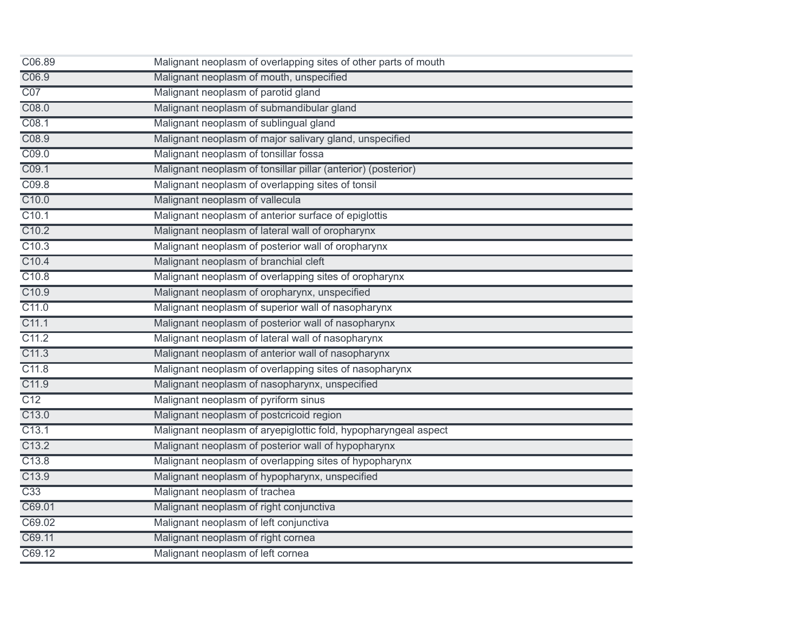| C06.89             | Malignant neoplasm of overlapping sites of other parts of mouth |
|--------------------|-----------------------------------------------------------------|
| $\overline{CO6.9}$ | Malignant neoplasm of mouth, unspecified                        |
| $\overline{C07}$   | Malignant neoplasm of parotid gland                             |
| $\overline{CO8.0}$ | Malignant neoplasm of submandibular gland                       |
| $\overline{CO8.1}$ | Malignant neoplasm of sublingual gland                          |
| $\overline{C08.9}$ | Malignant neoplasm of major salivary gland, unspecified         |
| $\overline{CO9.0}$ | Malignant neoplasm of tonsillar fossa                           |
| $\overline{C09.1}$ | Malignant neoplasm of tonsillar pillar (anterior) (posterior)   |
| $\overline{CO9.8}$ | Malignant neoplasm of overlapping sites of tonsil               |
| C10.0              | Malignant neoplasm of vallecula                                 |
| $C$ 10.1           | Malignant neoplasm of anterior surface of epiglottis            |
| C10.2              | Malignant neoplasm of lateral wall of oropharynx                |
| $\overline{C10.3}$ | Malignant neoplasm of posterior wall of oropharynx              |
| $\overline{C10.4}$ | Malignant neoplasm of branchial cleft                           |
| $\overline{C10.8}$ | Malignant neoplasm of overlapping sites of oropharynx           |
| $\overline{C10.9}$ | Malignant neoplasm of oropharynx, unspecified                   |
| C11.0              | Malignant neoplasm of superior wall of nasopharynx              |
| C11.1              | Malignant neoplasm of posterior wall of nasopharynx             |
| C11.2              | Malignant neoplasm of lateral wall of nasopharynx               |
| $\overline{C11.3}$ | Malignant neoplasm of anterior wall of nasopharynx              |
| C11.8              | Malignant neoplasm of overlapping sites of nasopharynx          |
| C11.9              | Malignant neoplasm of nasopharynx, unspecified                  |
| $\overline{C12}$   | Malignant neoplasm of pyriform sinus                            |
| C13.0              | Malignant neoplasm of postcricoid region                        |
| $\overline{C13.1}$ | Malignant neoplasm of aryepiglottic fold, hypopharyngeal aspect |
| $\overline{C13.2}$ | Malignant neoplasm of posterior wall of hypopharynx             |
| $\overline{C13.8}$ | Malignant neoplasm of overlapping sites of hypopharynx          |
| $\overline{C13.9}$ | Malignant neoplasm of hypopharynx, unspecified                  |
| $\overline{C33}$   | Malignant neoplasm of trachea                                   |
| C69.01             | Malignant neoplasm of right conjunctiva                         |
| C69.02             | Malignant neoplasm of left conjunctiva                          |
| C69.11             | Malignant neoplasm of right cornea                              |
| C69.12             | Malignant neoplasm of left cornea                               |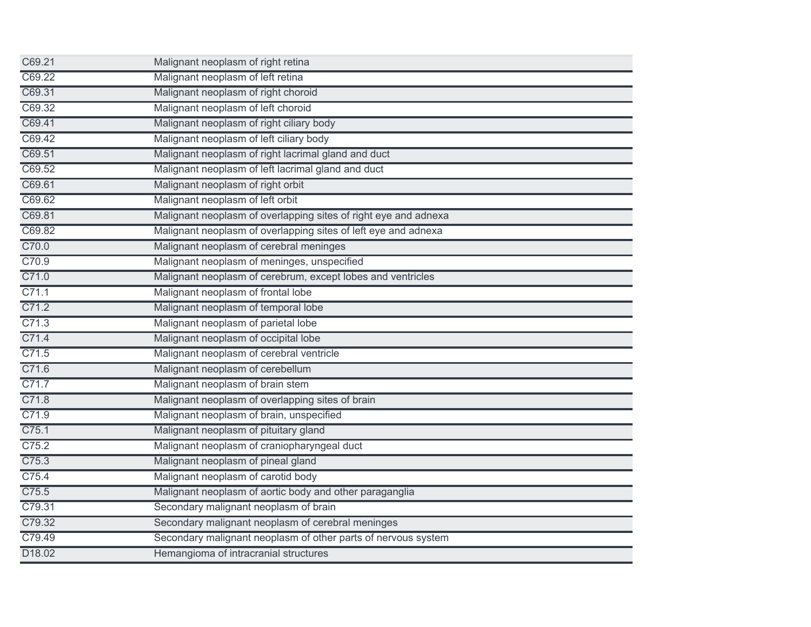| C69.21              | Malignant neoplasm of right retina                              |
|---------------------|-----------------------------------------------------------------|
| C69.22              | Malignant neoplasm of left retina                               |
| C69.31              | Malignant neoplasm of right choroid                             |
| C69.32              | Malignant neoplasm of left choroid                              |
| C69.41              | Malignant neoplasm of right ciliary body                        |
| C69.42              | Malignant neoplasm of left ciliary body                         |
| $\overline{C69.51}$ | Malignant neoplasm of right lacrimal gland and duct             |
| C69.52              | Malignant neoplasm of left lacrimal gland and duct              |
| C69.61              | Malignant neoplasm of right orbit                               |
| $\overline{C69.62}$ | Malignant neoplasm of left orbit                                |
| C69.81              | Malignant neoplasm of overlapping sites of right eye and adnexa |
| C69.82              | Malignant neoplasm of overlapping sites of left eye and adnexa  |
| C70.0               | Malignant neoplasm of cerebral meninges                         |
| $\overline{C70.9}$  | Malignant neoplasm of meninges, unspecified                     |
| C71.0               | Malignant neoplasm of cerebrum, except lobes and ventricles     |
| C71.1               | Malignant neoplasm of frontal lobe                              |
| $\overline{C71.2}$  | Malignant neoplasm of temporal lobe                             |
| C71.3               | Malignant neoplasm of parietal lobe                             |
| C71.4               | Malignant neoplasm of occipital lobe                            |
| C71.5               | Malignant neoplasm of cerebral ventricle                        |
| C71.6               | Malignant neoplasm of cerebellum                                |
| C71.7               | Malignant neoplasm of brain stem                                |
| C71.8               | Malignant neoplasm of overlapping sites of brain                |
| C71.9               | Malignant neoplasm of brain, unspecified                        |
| C75.1               | Malignant neoplasm of pituitary gland                           |
| $\overline{C75.2}$  | Malignant neoplasm of craniopharyngeal duct                     |
| $\overline{C75.3}$  | Malignant neoplasm of pineal gland                              |
| $\overline{C75.4}$  | Malignant neoplasm of carotid body                              |
| C75.5               | Malignant neoplasm of aortic body and other paraganglia         |
| C79.31              | Secondary malignant neoplasm of brain                           |
| C79.32              | Secondary malignant neoplasm of cerebral meninges               |
| C79.49              | Secondary malignant neoplasm of other parts of nervous system   |
| D <sub>18.02</sub>  | Hemangioma of intracranial structures                           |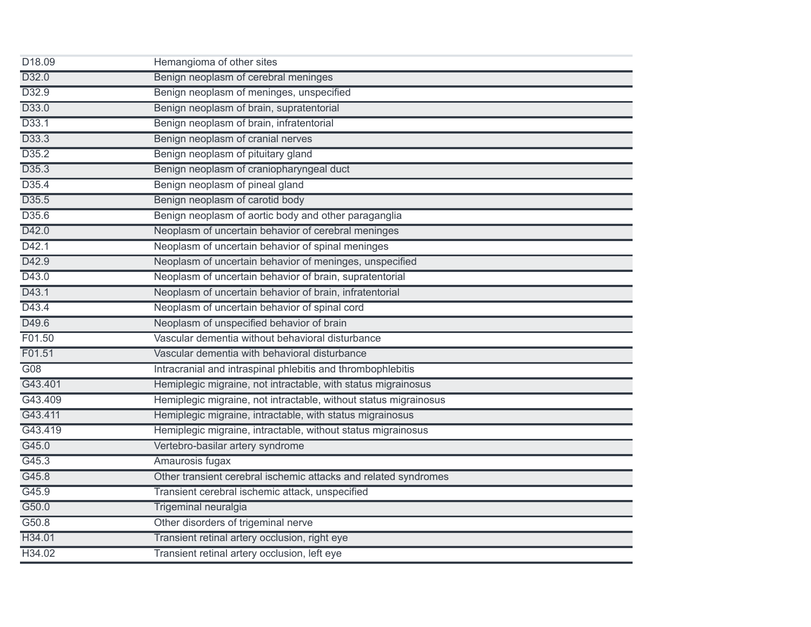| D18.09             | Hemangioma of other sites                                        |
|--------------------|------------------------------------------------------------------|
| D32.0              | Benign neoplasm of cerebral meninges                             |
| D32.9              | Benign neoplasm of meninges, unspecified                         |
| D33.0              | Benign neoplasm of brain, supratentorial                         |
| D33.1              | Benign neoplasm of brain, infratentorial                         |
| D33.3              | Benign neoplasm of cranial nerves                                |
| D35.2              | Benign neoplasm of pituitary gland                               |
| D35.3              | Benign neoplasm of craniopharyngeal duct                         |
| D35.4              | Benign neoplasm of pineal gland                                  |
| D35.5              | Benign neoplasm of carotid body                                  |
| D35.6              | Benign neoplasm of aortic body and other paraganglia             |
| D42.0              | Neoplasm of uncertain behavior of cerebral meninges              |
| D42.1              | Neoplasm of uncertain behavior of spinal meninges                |
| D42.9              | Neoplasm of uncertain behavior of meninges, unspecified          |
| $\overline{D43.0}$ | Neoplasm of uncertain behavior of brain, supratentorial          |
| $\overline{D43.1}$ | Neoplasm of uncertain behavior of brain, infratentorial          |
| $\overline{D43.4}$ | Neoplasm of uncertain behavior of spinal cord                    |
| D49.6              | Neoplasm of unspecified behavior of brain                        |
| F01.50             | Vascular dementia without behavioral disturbance                 |
| F01.51             | Vascular dementia with behavioral disturbance                    |
| $\overline{G08}$   | Intracranial and intraspinal phlebitis and thrombophlebitis      |
| G43.401            | Hemiplegic migraine, not intractable, with status migrainosus    |
| G43.409            | Hemiplegic migraine, not intractable, without status migrainosus |
| G43.411            | Hemiplegic migraine, intractable, with status migrainosus        |
| G43.419            | Hemiplegic migraine, intractable, without status migrainosus     |
| $\overline{G45.0}$ | Vertebro-basilar artery syndrome                                 |
| G45.3              | Amaurosis fugax                                                  |
| $\overline{G45.8}$ | Other transient cerebral ischemic attacks and related syndromes  |
| $\overline{G45.9}$ | Transient cerebral ischemic attack, unspecified                  |
| $\overline{G50.0}$ | <b>Trigeminal neuralgia</b>                                      |
| G50.8              | Other disorders of trigeminal nerve                              |
| H34.01             | Transient retinal artery occlusion, right eye                    |
| H34.02             | Transient retinal artery occlusion, left eye                     |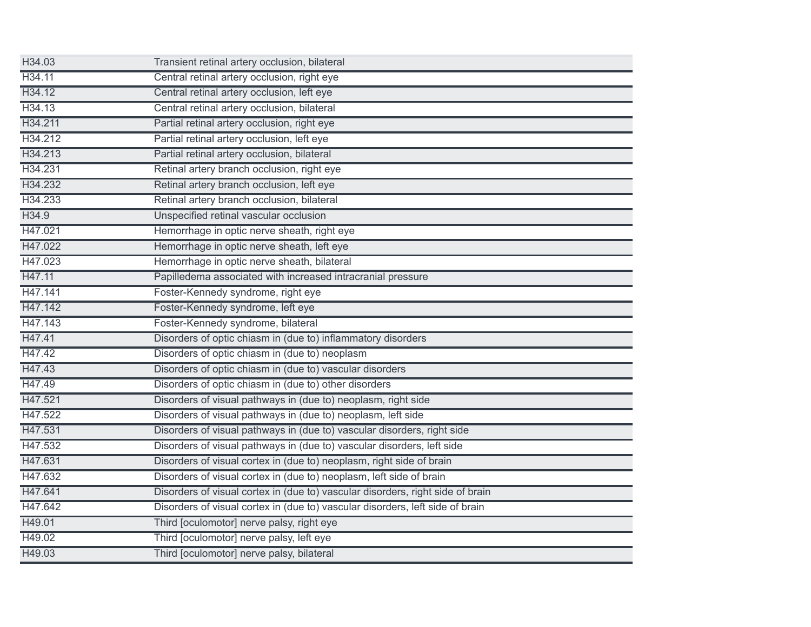| H34.03  | Transient retinal artery occlusion, bilateral                                  |
|---------|--------------------------------------------------------------------------------|
| H34.11  | Central retinal artery occlusion, right eye                                    |
| H34.12  | Central retinal artery occlusion, left eye                                     |
| H34.13  | Central retinal artery occlusion, bilateral                                    |
| H34.211 | Partial retinal artery occlusion, right eye                                    |
| H34.212 | Partial retinal artery occlusion, left eye                                     |
| H34.213 | Partial retinal artery occlusion, bilateral                                    |
| H34.231 | Retinal artery branch occlusion, right eye                                     |
| H34.232 | Retinal artery branch occlusion, left eye                                      |
| H34.233 | Retinal artery branch occlusion, bilateral                                     |
| H34.9   | Unspecified retinal vascular occlusion                                         |
| H47.021 | Hemorrhage in optic nerve sheath, right eye                                    |
| H47.022 | Hemorrhage in optic nerve sheath, left eye                                     |
| H47.023 | Hemorrhage in optic nerve sheath, bilateral                                    |
| H47.11  | Papilledema associated with increased intracranial pressure                    |
| H47.141 | Foster-Kennedy syndrome, right eye                                             |
| H47.142 | Foster-Kennedy syndrome, left eye                                              |
| H47.143 | Foster-Kennedy syndrome, bilateral                                             |
| H47.41  | Disorders of optic chiasm in (due to) inflammatory disorders                   |
| H47.42  | Disorders of optic chiasm in (due to) neoplasm                                 |
| H47.43  | Disorders of optic chiasm in (due to) vascular disorders                       |
| H47.49  | Disorders of optic chiasm in (due to) other disorders                          |
| H47.521 | Disorders of visual pathways in (due to) neoplasm, right side                  |
| H47.522 | Disorders of visual pathways in (due to) neoplasm, left side                   |
| H47.531 | Disorders of visual pathways in (due to) vascular disorders, right side        |
| H47.532 | Disorders of visual pathways in (due to) vascular disorders, left side         |
| H47.631 | Disorders of visual cortex in (due to) neoplasm, right side of brain           |
| H47.632 | Disorders of visual cortex in (due to) neoplasm, left side of brain            |
| H47.641 | Disorders of visual cortex in (due to) vascular disorders, right side of brain |
| H47.642 | Disorders of visual cortex in (due to) vascular disorders, left side of brain  |
| H49.01  | Third [oculomotor] nerve palsy, right eye                                      |
| H49.02  | Third [oculomotor] nerve palsy, left eye                                       |
| H49.03  | Third [oculomotor] nerve palsy, bilateral                                      |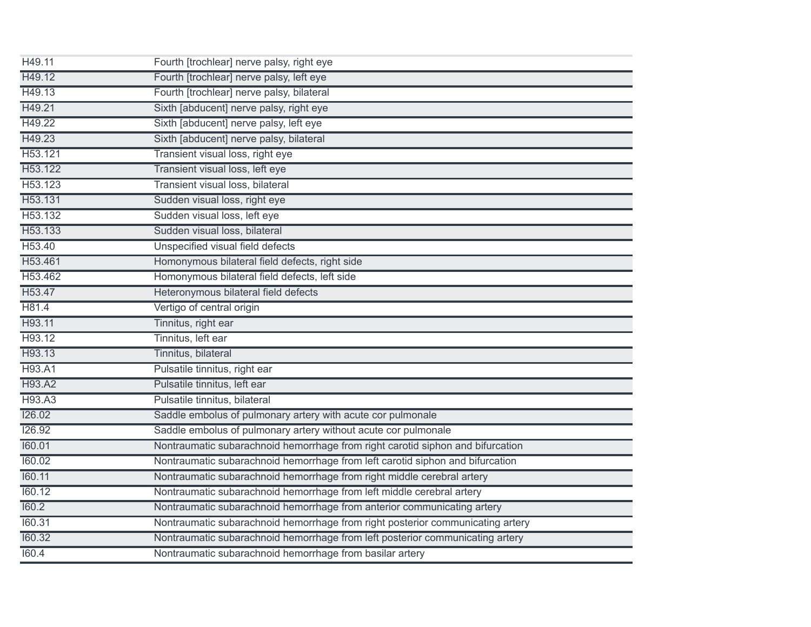| H49.11        | Fourth [trochlear] nerve palsy, right eye                                      |
|---------------|--------------------------------------------------------------------------------|
| H49.12        | Fourth [trochlear] nerve palsy, left eye                                       |
| H49.13        | Fourth [trochlear] nerve palsy, bilateral                                      |
| H49.21        | Sixth [abducent] nerve palsy, right eye                                        |
| H49.22        | Sixth [abducent] nerve palsy, left eye                                         |
| H49.23        | Sixth [abducent] nerve palsy, bilateral                                        |
| H53.121       | Transient visual loss, right eye                                               |
| H53.122       | Transient visual loss, left eye                                                |
| H53.123       | Transient visual loss, bilateral                                               |
| H53.131       | Sudden visual loss, right eye                                                  |
| H53.132       | Sudden visual loss, left eye                                                   |
| H53.133       | Sudden visual loss, bilateral                                                  |
| H53.40        | Unspecified visual field defects                                               |
| H53.461       | Homonymous bilateral field defects, right side                                 |
| H53.462       | Homonymous bilateral field defects, left side                                  |
| H53.47        | Heteronymous bilateral field defects                                           |
| H81.4         | Vertigo of central origin                                                      |
| H93.11        | Tinnitus, right ear                                                            |
| H93.12        | Tinnitus, left ear                                                             |
| H93.13        | Tinnitus, bilateral                                                            |
| H93.A1        | Pulsatile tinnitus, right ear                                                  |
| <b>H93.A2</b> | Pulsatile tinnitus, left ear                                                   |
| H93.A3        | Pulsatile tinnitus, bilateral                                                  |
| 126.02        | Saddle embolus of pulmonary artery with acute cor pulmonale                    |
| 126.92        | Saddle embolus of pulmonary artery without acute cor pulmonale                 |
| 160.01        | Nontraumatic subarachnoid hemorrhage from right carotid siphon and bifurcation |
| 160.02        | Nontraumatic subarachnoid hemorrhage from left carotid siphon and bifurcation  |
| 160.11        | Nontraumatic subarachnoid hemorrhage from right middle cerebral artery         |
| 160.12        | Nontraumatic subarachnoid hemorrhage from left middle cerebral artery          |
| 160.2         | Nontraumatic subarachnoid hemorrhage from anterior communicating artery        |
| 160.31        | Nontraumatic subarachnoid hemorrhage from right posterior communicating artery |
| 160.32        | Nontraumatic subarachnoid hemorrhage from left posterior communicating artery  |
| 160.4         | Nontraumatic subarachnoid hemorrhage from basilar artery                       |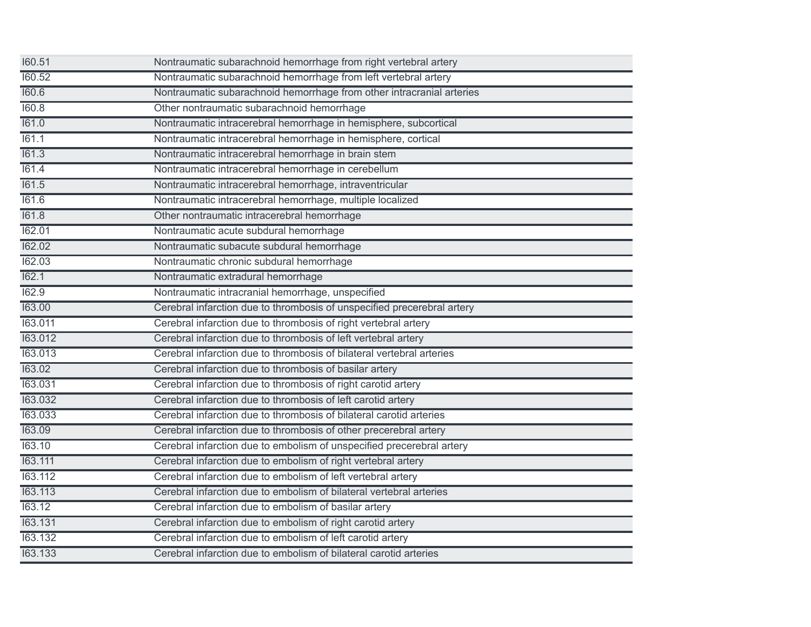| 160.51  | Nontraumatic subarachnoid hemorrhage from right vertebral artery        |
|---------|-------------------------------------------------------------------------|
| 160.52  | Nontraumatic subarachnoid hemorrhage from left vertebral artery         |
| 160.6   | Nontraumatic subarachnoid hemorrhage from other intracranial arteries   |
| 0.06    | Other nontraumatic subarachnoid hemorrhage                              |
| 161.0   | Nontraumatic intracerebral hemorrhage in hemisphere, subcortical        |
| 161.1   | Nontraumatic intracerebral hemorrhage in hemisphere, cortical           |
| 161.3   | Nontraumatic intracerebral hemorrhage in brain stem                     |
| 161.4   | Nontraumatic intracerebral hemorrhage in cerebellum                     |
| 161.5   | Nontraumatic intracerebral hemorrhage, intraventricular                 |
| 161.6   | Nontraumatic intracerebral hemorrhage, multiple localized               |
| 161.8   | Other nontraumatic intracerebral hemorrhage                             |
| 162.01  | Nontraumatic acute subdural hemorrhage                                  |
| 162.02  | Nontraumatic subacute subdural hemorrhage                               |
| 162.03  | Nontraumatic chronic subdural hemorrhage                                |
| 162.1   | Nontraumatic extradural hemorrhage                                      |
| 162.9   | Nontraumatic intracranial hemorrhage, unspecified                       |
| 163.00  | Cerebral infarction due to thrombosis of unspecified precerebral artery |
| 163.011 | Cerebral infarction due to thrombosis of right vertebral artery         |
| 163.012 | Cerebral infarction due to thrombosis of left vertebral artery          |
| 163.013 | Cerebral infarction due to thrombosis of bilateral vertebral arteries   |
| 163.02  | Cerebral infarction due to thrombosis of basilar artery                 |
| 163.031 | Cerebral infarction due to thrombosis of right carotid artery           |
| 163.032 | Cerebral infarction due to thrombosis of left carotid artery            |
| 163.033 | Cerebral infarction due to thrombosis of bilateral carotid arteries     |
| 163.09  | Cerebral infarction due to thrombosis of other precerebral artery       |
| 163.10  | Cerebral infarction due to embolism of unspecified precerebral artery   |
| 163.111 | Cerebral infarction due to embolism of right vertebral artery           |
| 163.112 | Cerebral infarction due to embolism of left vertebral artery            |
| 163.113 | Cerebral infarction due to embolism of bilateral vertebral arteries     |
| 163.12  | Cerebral infarction due to embolism of basilar artery                   |
| 163.131 | Cerebral infarction due to embolism of right carotid artery             |
| 163.132 | Cerebral infarction due to embolism of left carotid artery              |
| 163.133 | Cerebral infarction due to embolism of bilateral carotid arteries       |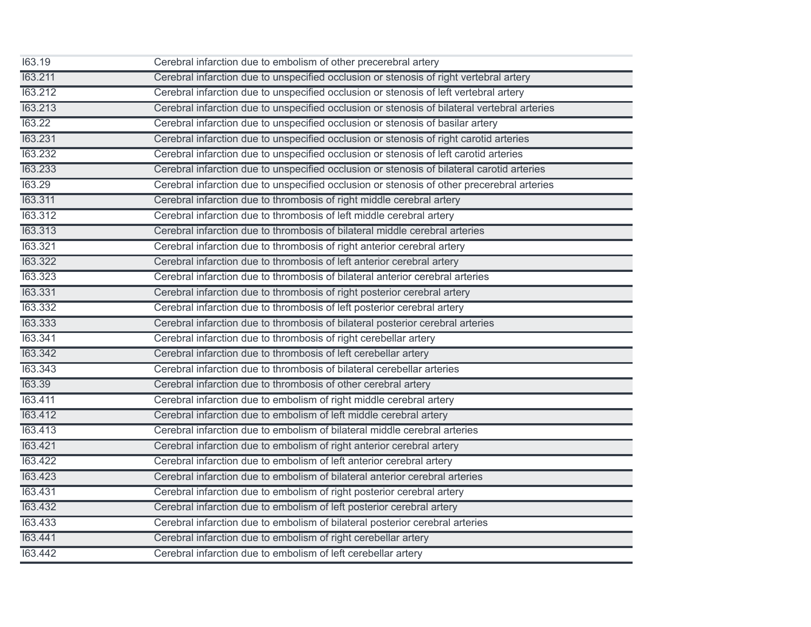| 163.19  | Cerebral infarction due to embolism of other precerebral artery                              |
|---------|----------------------------------------------------------------------------------------------|
| 163.211 | Cerebral infarction due to unspecified occlusion or stenosis of right vertebral artery       |
| 163.212 | Cerebral infarction due to unspecified occlusion or stenosis of left vertebral artery        |
| 163.213 | Cerebral infarction due to unspecified occlusion or stenosis of bilateral vertebral arteries |
| 163.22  | Cerebral infarction due to unspecified occlusion or stenosis of basilar artery               |
| 163.231 | Cerebral infarction due to unspecified occlusion or stenosis of right carotid arteries       |
| 163.232 | Cerebral infarction due to unspecified occlusion or stenosis of left carotid arteries        |
| 163.233 | Cerebral infarction due to unspecified occlusion or stenosis of bilateral carotid arteries   |
| 163.29  | Cerebral infarction due to unspecified occlusion or stenosis of other precerebral arteries   |
| 163.311 | Cerebral infarction due to thrombosis of right middle cerebral artery                        |
| 163.312 | Cerebral infarction due to thrombosis of left middle cerebral artery                         |
| 163.313 | Cerebral infarction due to thrombosis of bilateral middle cerebral arteries                  |
| 163.321 | Cerebral infarction due to thrombosis of right anterior cerebral artery                      |
| 163.322 | Cerebral infarction due to thrombosis of left anterior cerebral artery                       |
| 163.323 | Cerebral infarction due to thrombosis of bilateral anterior cerebral arteries                |
| 163.331 | Cerebral infarction due to thrombosis of right posterior cerebral artery                     |
| 163.332 | Cerebral infarction due to thrombosis of left posterior cerebral artery                      |
| 163.333 | Cerebral infarction due to thrombosis of bilateral posterior cerebral arteries               |
| 163.341 | Cerebral infarction due to thrombosis of right cerebellar artery                             |
| 163.342 | Cerebral infarction due to thrombosis of left cerebellar artery                              |
| 163.343 | Cerebral infarction due to thrombosis of bilateral cerebellar arteries                       |
| 163.39  | Cerebral infarction due to thrombosis of other cerebral artery                               |
| 163.411 | Cerebral infarction due to embolism of right middle cerebral artery                          |
| 163.412 | Cerebral infarction due to embolism of left middle cerebral artery                           |
| 163.413 | Cerebral infarction due to embolism of bilateral middle cerebral arteries                    |
| 163.421 | Cerebral infarction due to embolism of right anterior cerebral artery                        |
| 163.422 | Cerebral infarction due to embolism of left anterior cerebral artery                         |
| 163.423 | Cerebral infarction due to embolism of bilateral anterior cerebral arteries                  |
| 163.431 | Cerebral infarction due to embolism of right posterior cerebral artery                       |
| 163.432 | Cerebral infarction due to embolism of left posterior cerebral artery                        |
| 163.433 | Cerebral infarction due to embolism of bilateral posterior cerebral arteries                 |
| 163.441 | Cerebral infarction due to embolism of right cerebellar artery                               |
| 163.442 | Cerebral infarction due to embolism of left cerebellar artery                                |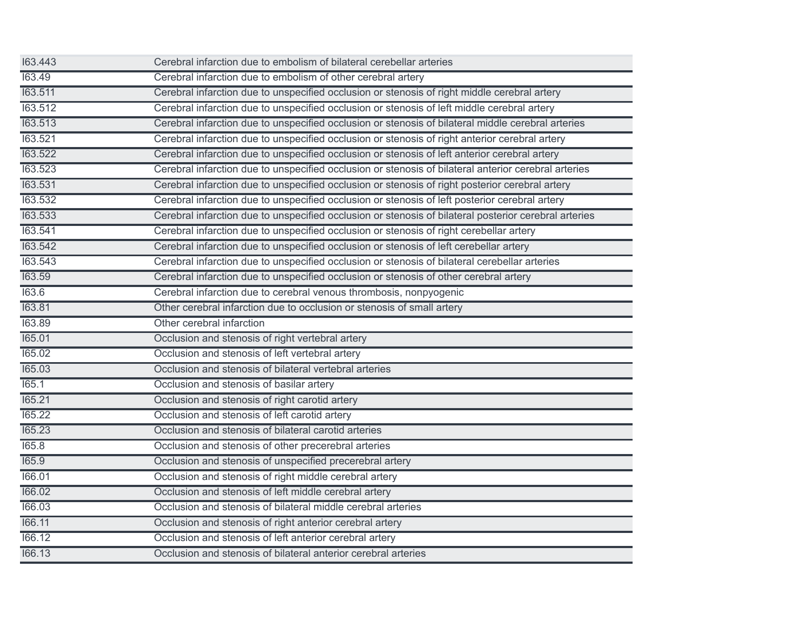| 163.443 | Cerebral infarction due to embolism of bilateral cerebellar arteries                                  |
|---------|-------------------------------------------------------------------------------------------------------|
| 163.49  | Cerebral infarction due to embolism of other cerebral artery                                          |
| 163.511 | Cerebral infarction due to unspecified occlusion or stenosis of right middle cerebral artery          |
| 163.512 | Cerebral infarction due to unspecified occlusion or stenosis of left middle cerebral artery           |
| 163.513 | Cerebral infarction due to unspecified occlusion or stenosis of bilateral middle cerebral arteries    |
| 163.521 | Cerebral infarction due to unspecified occlusion or stenosis of right anterior cerebral artery        |
| 163.522 | Cerebral infarction due to unspecified occlusion or stenosis of left anterior cerebral artery         |
| 163.523 | Cerebral infarction due to unspecified occlusion or stenosis of bilateral anterior cerebral arteries  |
| 163.531 | Cerebral infarction due to unspecified occlusion or stenosis of right posterior cerebral artery       |
| 163.532 | Cerebral infarction due to unspecified occlusion or stenosis of left posterior cerebral artery        |
| 163.533 | Cerebral infarction due to unspecified occlusion or stenosis of bilateral posterior cerebral arteries |
| 163.541 | Cerebral infarction due to unspecified occlusion or stenosis of right cerebellar artery               |
| 163.542 | Cerebral infarction due to unspecified occlusion or stenosis of left cerebellar artery                |
| 163.543 | Cerebral infarction due to unspecified occlusion or stenosis of bilateral cerebellar arteries         |
| 163.59  | Cerebral infarction due to unspecified occlusion or stenosis of other cerebral artery                 |
| 163.6   | Cerebral infarction due to cerebral venous thrombosis, nonpyogenic                                    |
| 163.81  | Other cerebral infarction due to occlusion or stenosis of small artery                                |
| 163.89  | Other cerebral infarction                                                                             |
| 165.01  | Occlusion and stenosis of right vertebral artery                                                      |
| 165.02  | Occlusion and stenosis of left vertebral artery                                                       |
| 165.03  | Occlusion and stenosis of bilateral vertebral arteries                                                |
| 165.1   | Occlusion and stenosis of basilar artery                                                              |
| 165.21  | Occlusion and stenosis of right carotid artery                                                        |
| 165.22  | Occlusion and stenosis of left carotid artery                                                         |
| 165.23  | Occlusion and stenosis of bilateral carotid arteries                                                  |
| 165.8   | Occlusion and stenosis of other precerebral arteries                                                  |
| 165.9   | Occlusion and stenosis of unspecified precerebral artery                                              |
| 166.01  | Occlusion and stenosis of right middle cerebral artery                                                |
| 166.02  | Occlusion and stenosis of left middle cerebral artery                                                 |
| 166.03  | Occlusion and stenosis of bilateral middle cerebral arteries                                          |
| 166.11  | Occlusion and stenosis of right anterior cerebral artery                                              |
| 166.12  | Occlusion and stenosis of left anterior cerebral artery                                               |
| 166.13  | Occlusion and stenosis of bilateral anterior cerebral arteries                                        |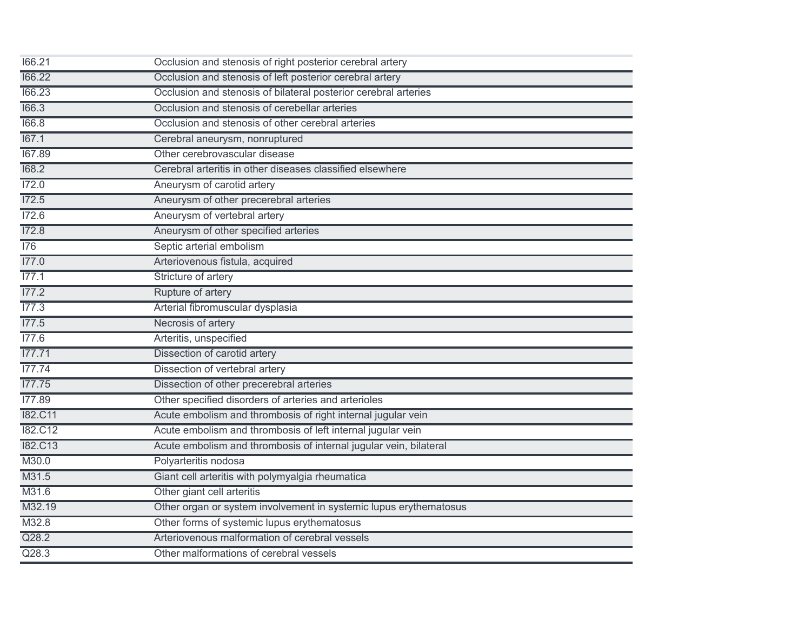| 166.21           | Occlusion and stenosis of right posterior cerebral artery         |  |
|------------------|-------------------------------------------------------------------|--|
| 166.22           | Occlusion and stenosis of left posterior cerebral artery          |  |
| 166.23           | Occlusion and stenosis of bilateral posterior cerebral arteries   |  |
| 166.3            | Occlusion and stenosis of cerebellar arteries                     |  |
| 166.8            | Occlusion and stenosis of other cerebral arteries                 |  |
| 167.1            | Cerebral aneurysm, nonruptured                                    |  |
| 167.89           | Other cerebrovascular disease                                     |  |
| 168.2            | Cerebral arteritis in other diseases classified elsewhere         |  |
| 172.0            | Aneurysm of carotid artery                                        |  |
| 172.5            | Aneurysm of other precerebral arteries                            |  |
| 172.6            | Aneurysm of vertebral artery                                      |  |
| 172.8            | Aneurysm of other specified arteries                              |  |
| $\overline{176}$ | Septic arterial embolism                                          |  |
| 177.0            | Arteriovenous fistula, acquired                                   |  |
| 177.1            | Stricture of artery                                               |  |
| 177.2            | Rupture of artery                                                 |  |
| 177.3            | Arterial fibromuscular dysplasia                                  |  |
| 177.5            | Necrosis of artery                                                |  |
| 177.6            | Arteritis, unspecified                                            |  |
| 177.71           | Dissection of carotid artery                                      |  |
| 177.74           | Dissection of vertebral artery                                    |  |
| 177.75           | Dissection of other precerebral arteries                          |  |
| 177.89           | Other specified disorders of arteries and arterioles              |  |
| <b>182.C11</b>   | Acute embolism and thrombosis of right internal jugular vein      |  |
| <b>182.C12</b>   | Acute embolism and thrombosis of left internal jugular vein       |  |
| <b>182.C13</b>   | Acute embolism and thrombosis of internal jugular vein, bilateral |  |
| M30.0            | Polyarteritis nodosa                                              |  |
| M31.5            | Giant cell arteritis with polymyalgia rheumatica                  |  |
| M31.6            | Other giant cell arteritis                                        |  |
| M32.19           | Other organ or system involvement in systemic lupus erythematosus |  |
| M32.8            | Other forms of systemic lupus erythematosus                       |  |
| Q28.2            | Arteriovenous malformation of cerebral vessels                    |  |
| Q28.3            | Other malformations of cerebral vessels                           |  |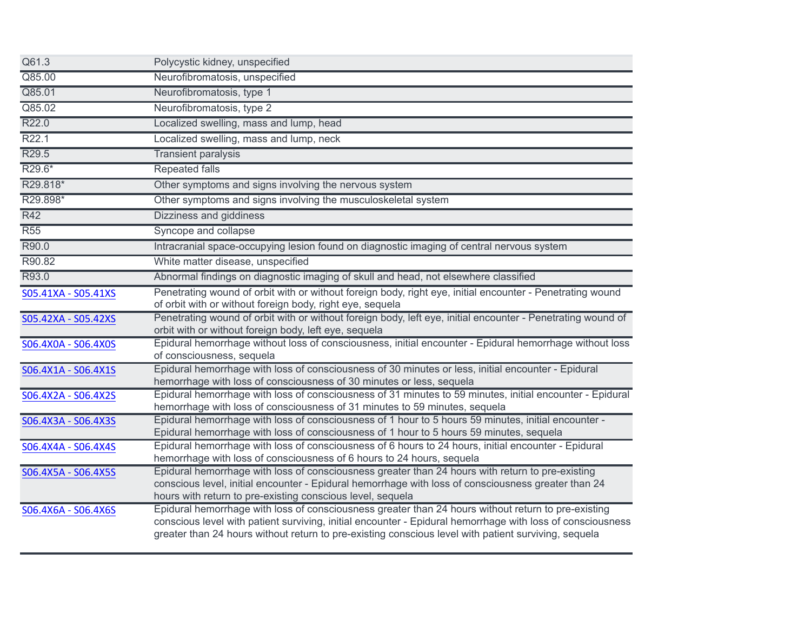| Q61.3               | Polycystic kidney, unspecified                                                                                                                                                                                                                                                                                            |
|---------------------|---------------------------------------------------------------------------------------------------------------------------------------------------------------------------------------------------------------------------------------------------------------------------------------------------------------------------|
| Q85.00              | Neurofibromatosis, unspecified                                                                                                                                                                                                                                                                                            |
| Q85.01              | Neurofibromatosis, type 1                                                                                                                                                                                                                                                                                                 |
| Q85.02              | Neurofibromatosis, type 2                                                                                                                                                                                                                                                                                                 |
| R <sub>22.0</sub>   | Localized swelling, mass and lump, head                                                                                                                                                                                                                                                                                   |
| R22.1               | Localized swelling, mass and lump, neck                                                                                                                                                                                                                                                                                   |
| R29.5               | <b>Transient paralysis</b>                                                                                                                                                                                                                                                                                                |
| R29.6*              | <b>Repeated falls</b>                                                                                                                                                                                                                                                                                                     |
| R29.818*            | Other symptoms and signs involving the nervous system                                                                                                                                                                                                                                                                     |
| R29.898*            | Other symptoms and signs involving the musculoskeletal system                                                                                                                                                                                                                                                             |
| R42                 | Dizziness and giddiness                                                                                                                                                                                                                                                                                                   |
| R55                 | Syncope and collapse                                                                                                                                                                                                                                                                                                      |
| R90.0               | Intracranial space-occupying lesion found on diagnostic imaging of central nervous system                                                                                                                                                                                                                                 |
| R90.82              | White matter disease, unspecified                                                                                                                                                                                                                                                                                         |
| R93.0               | Abnormal findings on diagnostic imaging of skull and head, not elsewhere classified                                                                                                                                                                                                                                       |
| S05.41XA - S05.41XS | Penetrating wound of orbit with or without foreign body, right eye, initial encounter - Penetrating wound<br>of orbit with or without foreign body, right eye, sequela                                                                                                                                                    |
| S05.42XA - S05.42XS | Penetrating wound of orbit with or without foreign body, left eye, initial encounter - Penetrating wound of<br>orbit with or without foreign body, left eye, sequela                                                                                                                                                      |
| S06.4X0A - S06.4X0S | Epidural hemorrhage without loss of consciousness, initial encounter - Epidural hemorrhage without loss<br>of consciousness, sequela                                                                                                                                                                                      |
| S06.4X1A - S06.4X1S | Epidural hemorrhage with loss of consciousness of 30 minutes or less, initial encounter - Epidural<br>hemorrhage with loss of consciousness of 30 minutes or less, sequela                                                                                                                                                |
| S06.4X2A - S06.4X2S | Epidural hemorrhage with loss of consciousness of 31 minutes to 59 minutes, initial encounter - Epidural<br>hemorrhage with loss of consciousness of 31 minutes to 59 minutes, sequela                                                                                                                                    |
| S06.4X3A - S06.4X3S | Epidural hemorrhage with loss of consciousness of 1 hour to 5 hours 59 minutes, initial encounter -<br>Epidural hemorrhage with loss of consciousness of 1 hour to 5 hours 59 minutes, sequela                                                                                                                            |
| S06.4X4A - S06.4X4S | Epidural hemorrhage with loss of consciousness of 6 hours to 24 hours, initial encounter - Epidural<br>hemorrhage with loss of consciousness of 6 hours to 24 hours, sequela                                                                                                                                              |
| S06.4X5A - S06.4X5S | Epidural hemorrhage with loss of consciousness greater than 24 hours with return to pre-existing<br>conscious level, initial encounter - Epidural hemorrhage with loss of consciousness greater than 24<br>hours with return to pre-existing conscious level, sequela                                                     |
| S06.4X6A - S06.4X6S | Epidural hemorrhage with loss of consciousness greater than 24 hours without return to pre-existing<br>conscious level with patient surviving, initial encounter - Epidural hemorrhage with loss of consciousness<br>greater than 24 hours without return to pre-existing conscious level with patient surviving, sequela |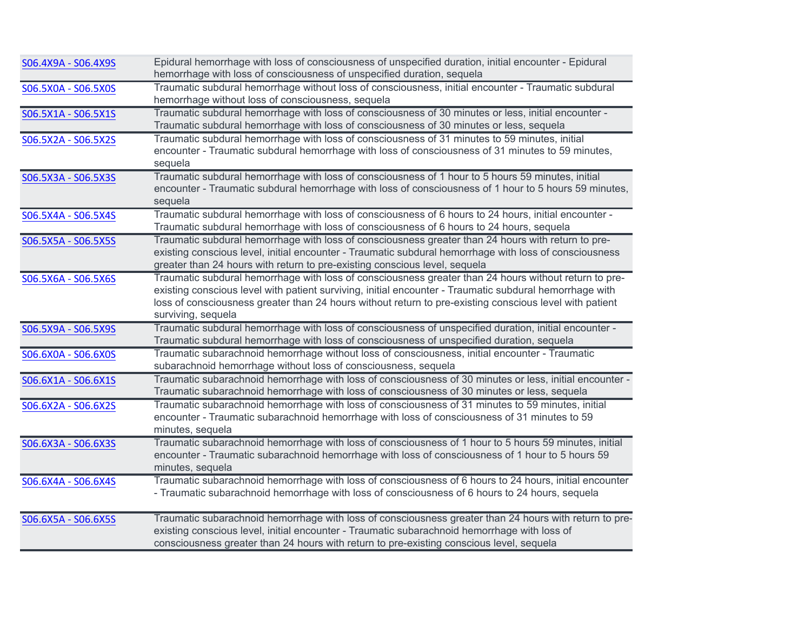| S06.4X9A - S06.4X9S | Epidural hemorrhage with loss of consciousness of unspecified duration, initial encounter - Epidural<br>hemorrhage with loss of consciousness of unspecified duration, sequela                                                                                                                                                                    |
|---------------------|---------------------------------------------------------------------------------------------------------------------------------------------------------------------------------------------------------------------------------------------------------------------------------------------------------------------------------------------------|
| S06.5X0A - S06.5X0S | Traumatic subdural hemorrhage without loss of consciousness, initial encounter - Traumatic subdural<br>hemorrhage without loss of consciousness, sequela                                                                                                                                                                                          |
| S06.5X1A - S06.5X1S | Traumatic subdural hemorrhage with loss of consciousness of 30 minutes or less, initial encounter -<br>Traumatic subdural hemorrhage with loss of consciousness of 30 minutes or less, sequela                                                                                                                                                    |
| S06.5X2A - S06.5X2S | Traumatic subdural hemorrhage with loss of consciousness of 31 minutes to 59 minutes, initial<br>encounter - Traumatic subdural hemorrhage with loss of consciousness of 31 minutes to 59 minutes,<br>sequela                                                                                                                                     |
| S06.5X3A - S06.5X3S | Traumatic subdural hemorrhage with loss of consciousness of 1 hour to 5 hours 59 minutes, initial<br>encounter - Traumatic subdural hemorrhage with loss of consciousness of 1 hour to 5 hours 59 minutes,<br>sequela                                                                                                                             |
| S06.5X4A - S06.5X4S | Traumatic subdural hemorrhage with loss of consciousness of 6 hours to 24 hours, initial encounter -<br>Traumatic subdural hemorrhage with loss of consciousness of 6 hours to 24 hours, sequela                                                                                                                                                  |
| S06.5X5A - S06.5X5S | Traumatic subdural hemorrhage with loss of consciousness greater than 24 hours with return to pre-<br>existing conscious level, initial encounter - Traumatic subdural hemorrhage with loss of consciousness<br>greater than 24 hours with return to pre-existing conscious level, sequela                                                        |
| S06.5X6A - S06.5X6S | Traumatic subdural hemorrhage with loss of consciousness greater than 24 hours without return to pre-<br>existing conscious level with patient surviving, initial encounter - Traumatic subdural hemorrhage with<br>loss of consciousness greater than 24 hours without return to pre-existing conscious level with patient<br>surviving, sequela |
| S06.5X9A - S06.5X9S | Traumatic subdural hemorrhage with loss of consciousness of unspecified duration, initial encounter -<br>Traumatic subdural hemorrhage with loss of consciousness of unspecified duration, sequela                                                                                                                                                |
| S06.6X0A - S06.6X0S | Traumatic subarachnoid hemorrhage without loss of consciousness, initial encounter - Traumatic<br>subarachnoid hemorrhage without loss of consciousness, sequela                                                                                                                                                                                  |
| S06.6X1A - S06.6X1S | Traumatic subarachnoid hemorrhage with loss of consciousness of 30 minutes or less, initial encounter -<br>Traumatic subarachnoid hemorrhage with loss of consciousness of 30 minutes or less, sequela                                                                                                                                            |
| S06.6X2A - S06.6X2S | Traumatic subarachnoid hemorrhage with loss of consciousness of 31 minutes to 59 minutes, initial<br>encounter - Traumatic subarachnoid hemorrhage with loss of consciousness of 31 minutes to 59<br>minutes, sequela                                                                                                                             |
| S06.6X3A - S06.6X3S | Traumatic subarachnoid hemorrhage with loss of consciousness of 1 hour to 5 hours 59 minutes, initial<br>encounter - Traumatic subarachnoid hemorrhage with loss of consciousness of 1 hour to 5 hours 59<br>minutes, sequela                                                                                                                     |
| S06.6X4A - S06.6X4S | Traumatic subarachnoid hemorrhage with loss of consciousness of 6 hours to 24 hours, initial encounter<br>- Traumatic subarachnoid hemorrhage with loss of consciousness of 6 hours to 24 hours, sequela                                                                                                                                          |
| S06.6X5A - S06.6X5S | Traumatic subarachnoid hemorrhage with loss of consciousness greater than 24 hours with return to pre-<br>existing conscious level, initial encounter - Traumatic subarachnoid hemorrhage with loss of<br>consciousness greater than 24 hours with return to pre-existing conscious level, sequela                                                |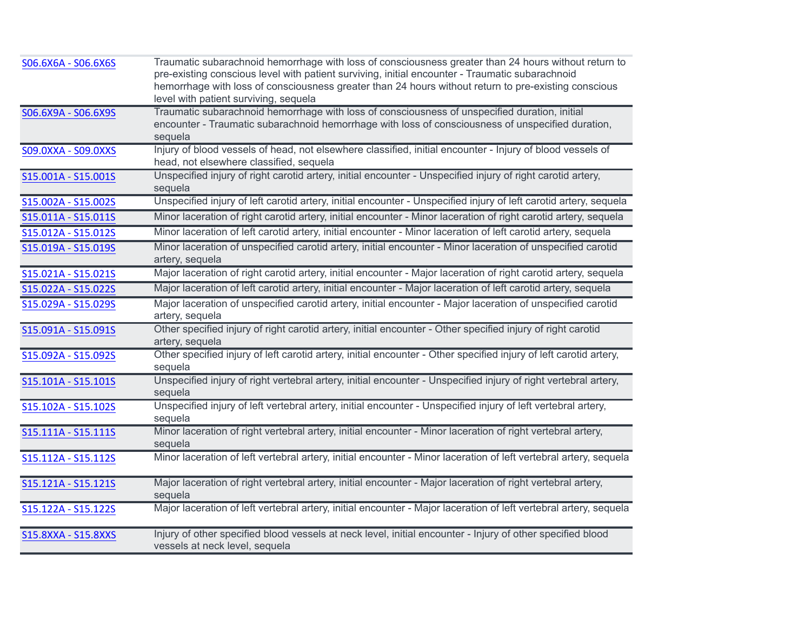| S06.6X6A - S06.6X6S | Traumatic subarachnoid hemorrhage with loss of consciousness greater than 24 hours without return to<br>pre-existing conscious level with patient surviving, initial encounter - Traumatic subarachnoid<br>hemorrhage with loss of consciousness greater than 24 hours without return to pre-existing conscious |
|---------------------|-----------------------------------------------------------------------------------------------------------------------------------------------------------------------------------------------------------------------------------------------------------------------------------------------------------------|
|                     | level with patient surviving, sequela                                                                                                                                                                                                                                                                           |
| S06.6X9A - S06.6X9S | Traumatic subarachnoid hemorrhage with loss of consciousness of unspecified duration, initial<br>encounter - Traumatic subarachnoid hemorrhage with loss of consciousness of unspecified duration,<br>sequela                                                                                                   |
| S09.0XXA - S09.0XXS | Injury of blood vessels of head, not elsewhere classified, initial encounter - Injury of blood vessels of<br>head, not elsewhere classified, sequela                                                                                                                                                            |
| S15.001A - S15.001S | Unspecified injury of right carotid artery, initial encounter - Unspecified injury of right carotid artery,<br>sequela                                                                                                                                                                                          |
| S15.002A - S15.002S | Unspecified injury of left carotid artery, initial encounter - Unspecified injury of left carotid artery, sequela                                                                                                                                                                                               |
| S15.011A - S15.011S | Minor laceration of right carotid artery, initial encounter - Minor laceration of right carotid artery, sequela                                                                                                                                                                                                 |
| S15.012A - S15.012S | Minor laceration of left carotid artery, initial encounter - Minor laceration of left carotid artery, sequela                                                                                                                                                                                                   |
| S15.019A - S15.019S | Minor laceration of unspecified carotid artery, initial encounter - Minor laceration of unspecified carotid<br>artery, sequela                                                                                                                                                                                  |
| S15.021A - S15.021S | Major laceration of right carotid artery, initial encounter - Major laceration of right carotid artery, sequela                                                                                                                                                                                                 |
| S15.022A - S15.022S | Major laceration of left carotid artery, initial encounter - Major laceration of left carotid artery, sequela                                                                                                                                                                                                   |
| S15.029A - S15.029S | Major laceration of unspecified carotid artery, initial encounter - Major laceration of unspecified carotid<br>artery, sequela                                                                                                                                                                                  |
| S15.091A - S15.091S | Other specified injury of right carotid artery, initial encounter - Other specified injury of right carotid<br>artery, sequela                                                                                                                                                                                  |
| S15.092A - S15.092S | Other specified injury of left carotid artery, initial encounter - Other specified injury of left carotid artery,<br>sequela                                                                                                                                                                                    |
| S15.101A - S15.101S | Unspecified injury of right vertebral artery, initial encounter - Unspecified injury of right vertebral artery,<br>sequela                                                                                                                                                                                      |
| S15.102A - S15.102S | Unspecified injury of left vertebral artery, initial encounter - Unspecified injury of left vertebral artery,<br>sequela                                                                                                                                                                                        |
| S15.111A - S15.111S | Minor laceration of right vertebral artery, initial encounter - Minor laceration of right vertebral artery,<br>sequela                                                                                                                                                                                          |
| S15.112A - S15.112S | Minor laceration of left vertebral artery, initial encounter - Minor laceration of left vertebral artery, sequela                                                                                                                                                                                               |
| S15.121A - S15.121S | Major laceration of right vertebral artery, initial encounter - Major laceration of right vertebral artery,<br>sequela                                                                                                                                                                                          |
| S15.122A - S15.122S | Major laceration of left vertebral artery, initial encounter - Major laceration of left vertebral artery, sequela                                                                                                                                                                                               |
| S15.8XXA - S15.8XXS | Injury of other specified blood vessels at neck level, initial encounter - Injury of other specified blood<br>vessels at neck level, sequela                                                                                                                                                                    |